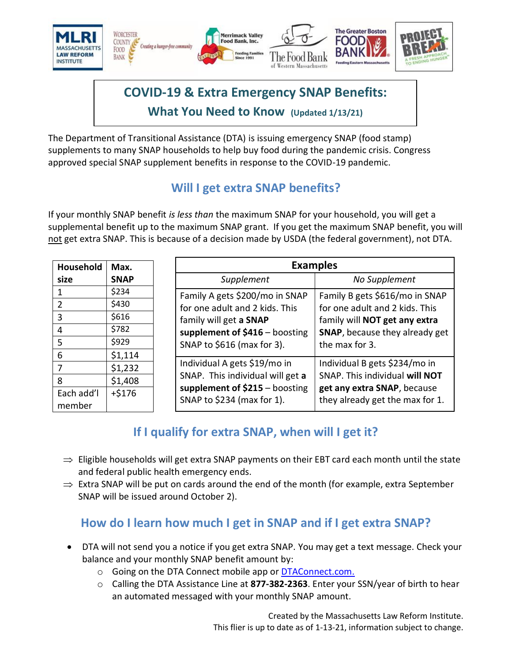

# **COVID-19 & Extra Emergency SNAP Benefits: What You Need to Know (Updated 1/13/21)**

The Department of Transitional Assistance (DTA) is issuing emergency SNAP (food stamp) supplements to many SNAP households to help buy food during the pandemic crisis. Congress approved special SNAP supplement benefits in response to the COVID-19 pandemic.

# **Will I get extra SNAP benefits?**

If your monthly SNAP benefit *is less than* the maximum SNAP for your household, you will get a supplemental benefit up to the maximum SNAP grant. If you get the maximum SNAP benefit, you will not get extra SNAP. This is because of a decision made by USDA (the federal government), not DTA.

| Household            | Max.        |                                                                                            | <b>Examples</b>                                                                                                                                                                                                                                                                            |  |
|----------------------|-------------|--------------------------------------------------------------------------------------------|--------------------------------------------------------------------------------------------------------------------------------------------------------------------------------------------------------------------------------------------------------------------------------------------|--|
| size                 | <b>SNAP</b> | Supplement                                                                                 | No Supplement                                                                                                                                                                                                                                                                              |  |
| $\mathbf{1}$         | \$234       | Family A gets \$200/mo in SNAP<br>for one adult and 2 kids. This<br>family will get a SNAP | Family B gets \$616/mo in SNAP<br>for one adult and 2 kids. This<br>family will NOT get any extra<br>SNAP, because they already get<br>the max for 3.<br>Individual B gets \$234/mo in<br>SNAP. This individual will NOT<br>get any extra SNAP, because<br>they already get the max for 1. |  |
| 2                    | \$430       |                                                                                            |                                                                                                                                                                                                                                                                                            |  |
| $\overline{3}$       | \$616       |                                                                                            |                                                                                                                                                                                                                                                                                            |  |
| $\overline{4}$       | \$782       | supplement of $$416 - boosting$                                                            |                                                                                                                                                                                                                                                                                            |  |
| -5                   | \$929       | SNAP to \$616 (max for 3).                                                                 |                                                                                                                                                                                                                                                                                            |  |
| 6                    | \$1,114     |                                                                                            |                                                                                                                                                                                                                                                                                            |  |
|                      | \$1,232     | Individual A gets \$19/mo in                                                               |                                                                                                                                                                                                                                                                                            |  |
| 8                    | \$1,408     | SNAP. This individual will get a                                                           |                                                                                                                                                                                                                                                                                            |  |
| Each add'l<br>member | $+ $176$    | supplement of $$215 - boosting$<br>SNAP to \$234 (max for 1).                              |                                                                                                                                                                                                                                                                                            |  |

# **If I qualify for extra SNAP, when will I get it?**

- $\Rightarrow$  Eligible households will get extra SNAP payments on their EBT card each month until the state and federal public health emergency ends.
- $\Rightarrow$  Extra SNAP will be put on cards around the end of the month (for example, extra September SNAP will be issued around October 2).

#### **How do I learn how much I get in SNAP and if I get extra SNAP?**

- DTA will not send you a notice if you get extra SNAP. You may get a text message. Check your balance and your monthly SNAP benefit amount by:
	- o Going on the DTA Connect mobile app or [DTAConnect.com.](http://www.dtaconnect.com/)
	- o Calling the DTA Assistance Line at **877-382-2363**. Enter your SSN/year of birth to hear an automated messaged with your monthly SNAP amount.

Created by the Massachusetts Law Reform Institute. This flier is up to date as of 1-13-21, information subject to change.